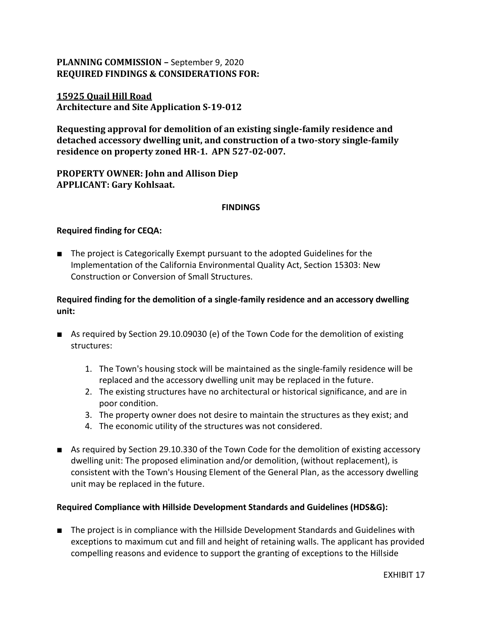# **PLANNING COMMISSION –** September 9, 2020 **REQUIRED FINDINGS & CONSIDERATIONS FOR:**

## **15925 Quail Hill Road Architecture and Site Application S-19-012**

**Requesting approval for demolition of an existing single-family residence and detached accessory dwelling unit, and construction of a two-story single-family residence on property zoned HR-1. APN 527-02-007.**

**PROPERTY OWNER: John and Allison Diep APPLICANT: Gary Kohlsaat.** 

### **FINDINGS**

### **Required finding for CEQA:**

■ The project is Categorically Exempt pursuant to the adopted Guidelines for the Implementation of the California Environmental Quality Act, Section 15303: New Construction or Conversion of Small Structures.

## **Required finding for the demolition of a single-family residence and an accessory dwelling unit:**

- As required by Section 29.10.09030 (e) of the Town Code for the demolition of existing structures:
	- 1. The Town's housing stock will be maintained as the single-family residence will be replaced and the accessory dwelling unit may be replaced in the future.
	- 2. The existing structures have no architectural or historical significance, and are in poor condition.
	- 3. The property owner does not desire to maintain the structures as they exist; and
	- 4. The economic utility of the structures was not considered.
- As required by Section 29.10.330 of the Town Code for the demolition of existing accessory dwelling unit: The proposed elimination and/or demolition, (without replacement), is consistent with the Town's Housing Element of the General Plan, as the accessory dwelling unit may be replaced in the future.

### **Required Compliance with Hillside Development Standards and Guidelines (HDS&G):**

■ The project is in compliance with the Hillside Development Standards and Guidelines with exceptions to maximum cut and fill and height of retaining walls. The applicant has provided compelling reasons and evidence to support the granting of exceptions to the Hillside